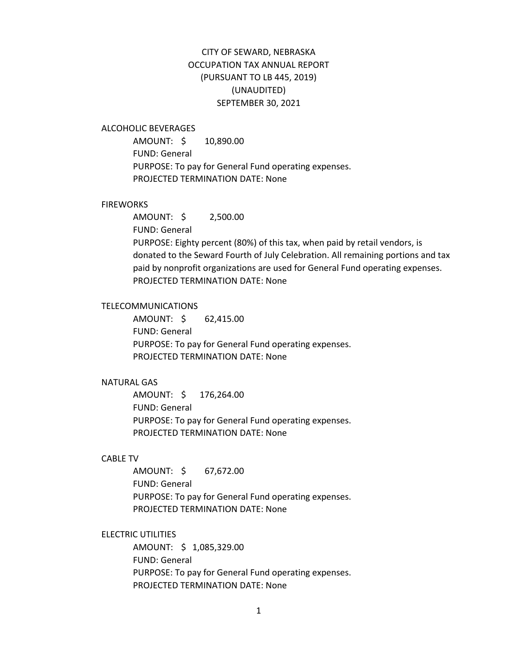# CITY OF SEWARD, NEBRASKA OCCUPATION TAX ANNUAL REPORT (PURSUANT TO LB 445, 2019) (UNAUDITED) SEPTEMBER 30, 2021

### ALCOHOLIC BEVERAGES

AMOUNT: \$ 10,890.00 FUND: General PURPOSE: To pay for General Fund operating expenses. PROJECTED TERMINATION DATE: None

### **FIREWORKS**

AMOUNT: \$ 2,500.00 FUND: General PURPOSE: Eighty percent (80%) of this tax, when paid by retail vendors, is donated to the Seward Fourth of July Celebration. All remaining portions and tax paid by nonprofit organizations are used for General Fund operating expenses. PROJECTED TERMINATION DATE: None

### TELECOMMUNICATIONS

AMOUNT: \$ 62,415.00 FUND: General PURPOSE: To pay for General Fund operating expenses. PROJECTED TERMINATION DATE: None

#### NATURAL GAS

AMOUNT: \$ 176,264.00 FUND: General PURPOSE: To pay for General Fund operating expenses. PROJECTED TERMINATION DATE: None

## CABLE TV

AMOUNT: \$ 67,672.00 FUND: General PURPOSE: To pay for General Fund operating expenses. PROJECTED TERMINATION DATE: None

### ELECTRIC UTILITIES

AMOUNT: \$ 1,085,329.00 FUND: General PURPOSE: To pay for General Fund operating expenses. PROJECTED TERMINATION DATE: None